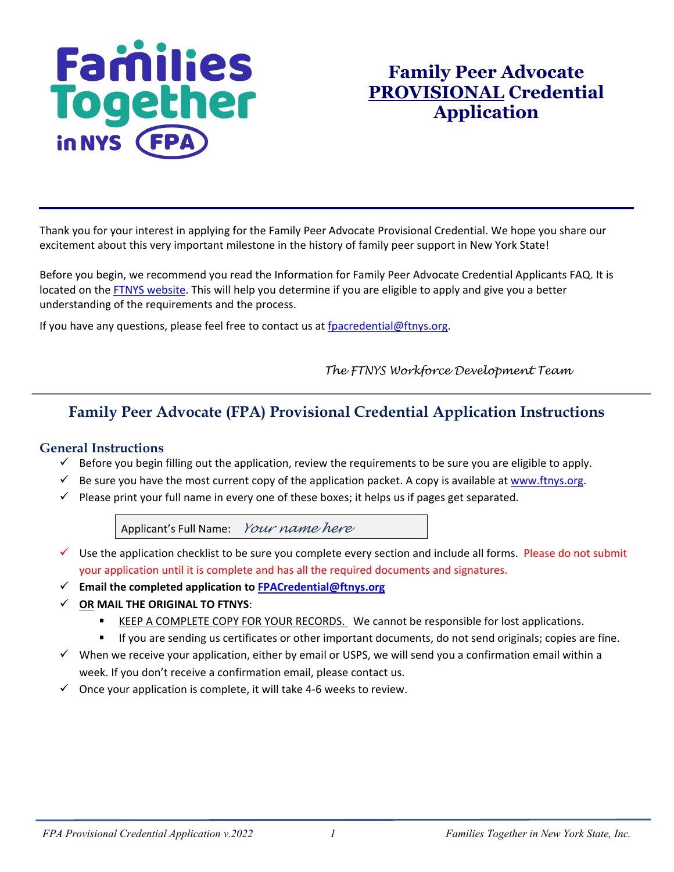# **Families**<br>Together in NYS (FP

## **Family Peer Advocate PROVISIONAL Credential Application**

Thank you for your interest in applying for the Family Peer Advocate Provisional Credential. We hope you share our excitement about this very important milestone in the history of family peer support in New York State!

Before you begin, we recommend you read the Information for Family Peer Advocate Credential Applicants FAQ. It is located on the [FTNYS website.](http://www.ftnys.org/) This will help you determine if you are eligible to apply and give you a better understanding of the requirements and the process.

If you have any questions, please feel free to contact us at [fpacredential@ftnys.org.](mailto:fpacredential@ftnys.org)

 *The FTNYS Workforce Development Team*

### **Family Peer Advocate (FPA) Provisional Credential Application Instructions**

#### **General Instructions**

- $\checkmark$  Before you begin filling out the application, review the requirements to be sure you are eligible to apply.
- $\checkmark$  Be sure you have the most current copy of the application packet. A copy is available at www.ftnys.org.
- $\checkmark$  Please print your full name in every one of these boxes; it helps us if pages get separated.

Applicant's Full Name:*Your name here*

- $\checkmark$  Use the application checklist to be sure you complete every section and include all forms. Please do not submit your application until it is complete and has all the required documents and signatures.
- **Email the completed application to [FPACredential@ftnys.org](mailto:FPACredential@ftnys.org)**
- **OR MAIL THE ORIGINAL TO FTNYS**:
	- KEEP A COMPLETE COPY FOR YOUR RECORDS. We cannot be responsible for lost applications.
	- If you are sending us certificates or other important documents, do not send originals; copies are fine.
- $\checkmark$  When we receive your application, either by email or USPS, we will send you a confirmation email within a week. If you don't receive a confirmation email, please contact us.
- $\checkmark$  Once your application is complete, it will take 4-6 weeks to review.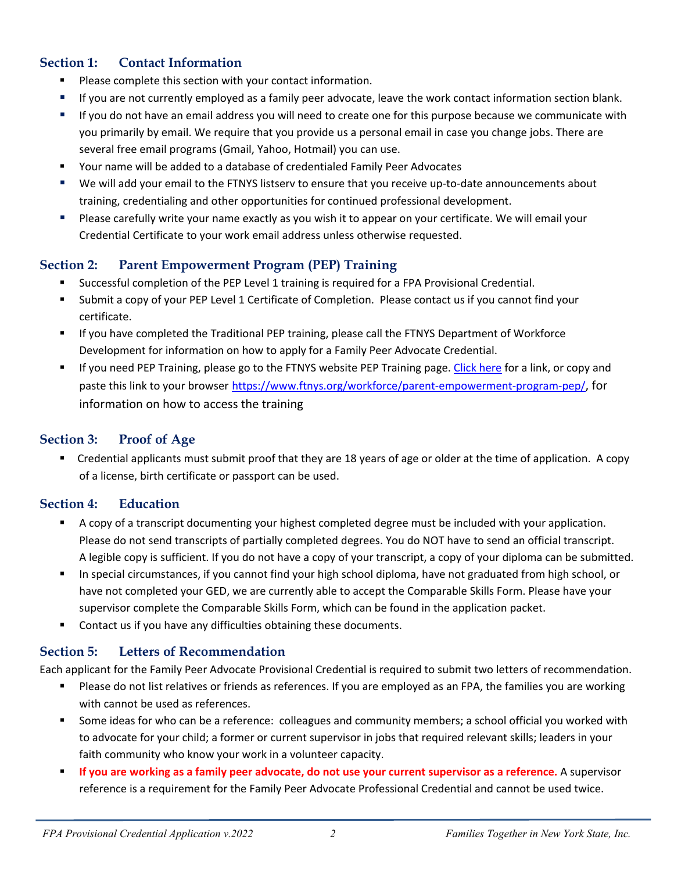#### **Section 1: Contact Information**

- **Please complete this section with your contact information.**
- If you are not currently employed as a family peer advocate, leave the work contact information section blank.
- If you do not have an email address you will need to create one for this purpose because we communicate with you primarily by email. We require that you provide us a personal email in case you change jobs. There are several free email programs (Gmail, Yahoo, Hotmail) you can use.
- Your name will be added to a database of credentialed Family Peer Advocates
- We will add your email to the FTNYS listserv to ensure that you receive up-to-date announcements about training, credentialing and other opportunities for continued professional development.
- Please carefully write your name exactly as you wish it to appear on your certificate. We will email your Credential Certificate to your work email address unless otherwise requested.

#### **Section 2: Parent Empowerment Program (PEP) Training**

- Successful completion of the PEP Level 1 training is required for a FPA Provisional Credential.
- Submit a copy of your PEP Level 1 Certificate of Completion. Please contact us if you cannot find your certificate.
- If you have completed the Traditional PEP training, please call the FTNYS Department of Workforce Development for information on how to apply for a Family Peer Advocate Credential.
- If you need PEP Training, please go to the FTNYS website PEP Training page. Click here for a link, or copy and paste this link to your browser [https://www.ftnys.org/workforce/parent-empowerment-program-pep/,](https://www.ftnys.org/workforce/parent-empowerment-program-pep/) for information on how to access the training

#### **Section 3: Proof of Age**

 Credential applicants must submit proof that they are 18 years of age or older at the time of application. A copy of a license, birth certificate or passport can be used.

#### **Section 4: Education**

- A copy of a transcript documenting your highest completed degree must be included with your application. Please do not send transcripts of partially completed degrees. You do NOT have to send an official transcript. A legible copy is sufficient. If you do not have a copy of your transcript, a copy of your diploma can be submitted.
- In special circumstances, if you cannot find your high school diploma, have not graduated from high school, or have not completed your GED, we are currently able to accept the Comparable Skills Form. Please have your supervisor complete the Comparable Skills Form, which can be found in the application packet.
- Contact us if you have any difficulties obtaining these documents.

#### **Section 5: Letters of Recommendation**

Each applicant for the Family Peer Advocate Provisional Credential is required to submit two letters of recommendation.

- Please do not list relatives or friends as references. If you are employed as an FPA, the families you are working with cannot be used as references.
- Some ideas for who can be a reference: colleagues and community members; a school official you worked with to advocate for your child; a former or current supervisor in jobs that required relevant skills; leaders in your faith community who know your work in a volunteer capacity.
- **If you are working as a family peer advocate, do not use your current supervisor as a reference.** A supervisor reference is a requirement for the Family Peer Advocate Professional Credential and cannot be used twice.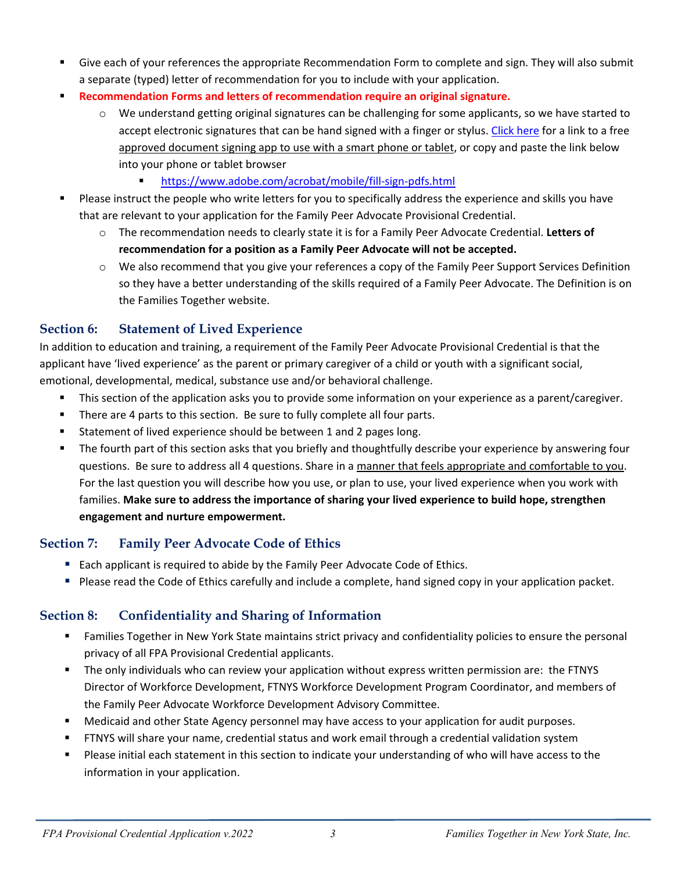- Give each of your references the appropriate Recommendation Form to complete and sign. They will also submit a separate (typed) letter of recommendation for you to include with your application.
- **Recommendation Forms and letters of recommendation require an original signature.**
	- o We understand getting original signatures can be challenging for some applicants, so we have started to accept electronic signatures that can be hand signed with a finger or stylus. [Click here](https://acrobat.adobe.com/us/en/mobile/fill-sign-pdfs.html) for a link to a free approved document signing app to use with a smart phone or tablet, or copy and paste the link below into your phone or tablet browser
		- <https://www.adobe.com/acrobat/mobile/fill-sign-pdfs.html>
- Please instruct the people who write letters for you to specifically address the experience and skills you have that are relevant to your application for the Family Peer Advocate Provisional Credential.
	- o The recommendation needs to clearly state it is for a Family Peer Advocate Credential. **Letters of recommendation for a position as a Family Peer Advocate will not be accepted.**
	- o We also recommend that you give your references a copy of the Family Peer Support Services Definition so they have a better understanding of the skills required of a Family Peer Advocate. The Definition is on the Families Together website.

#### **Section 6: Statement of Lived Experience**

In addition to education and training, a requirement of the Family Peer Advocate Provisional Credential is that the applicant have 'lived experience' as the parent or primary caregiver of a child or youth with a significant social, emotional, developmental, medical, substance use and/or behavioral challenge.

- This section of the application asks you to provide some information on your experience as a parent/caregiver.
- There are 4 parts to this section. Be sure to fully complete all four parts.
- Statement of lived experience should be between 1 and 2 pages long.
- The fourth part of this section asks that you briefly and thoughtfully describe your experience by answering four questions. Be sure to address all 4 questions. Share in a manner that feels appropriate and comfortable to you. For the last question you will describe how you use, or plan to use, your lived experience when you work with families. **Make sure to address the importance of sharing your lived experience to build hope, strengthen engagement and nurture empowerment.**

#### **Section 7: Family Peer Advocate Code of Ethics**

- **Each applicant is required to abide by the Family Peer Advocate Code of Ethics.**
- Please read the Code of Ethics carefully and include a complete, hand signed copy in your application packet.

#### **Section 8: Confidentiality and Sharing of Information**

- Families Together in New York State maintains strict privacy and confidentiality policies to ensure the personal privacy of all FPA Provisional Credential applicants.
- The only individuals who can review your application without express written permission are: the FTNYS Director of Workforce Development, FTNYS Workforce Development Program Coordinator, and members of the Family Peer Advocate Workforce Development Advisory Committee.
- Medicaid and other State Agency personnel may have access to your application for audit purposes.
- FTNYS will share your name, credential status and work email through a credential validation system
- **Please initial each statement in this section to indicate your understanding of who will have access to the** information in your application.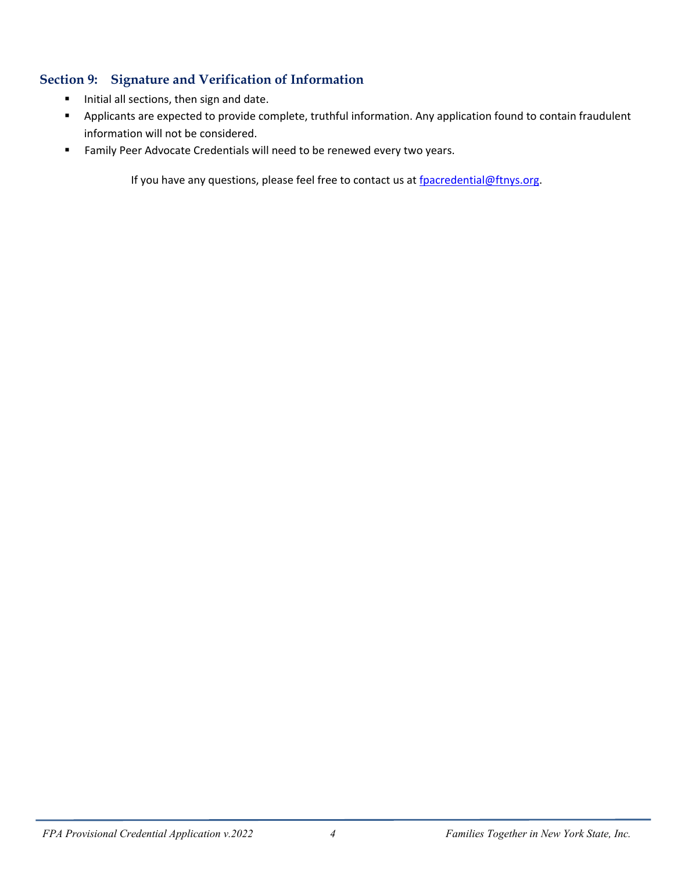#### **Section 9: Signature and Verification of Information**

- **Initial all sections, then sign and date.**
- Applicants are expected to provide complete, truthful information. Any application found to contain fraudulent information will not be considered.
- **Family Peer Advocate Credentials will need to be renewed every two years.**

If you have any questions, please feel free to contact us at [fpacredential@ftnys.org.](mailto:fpacredential@ftnys.org)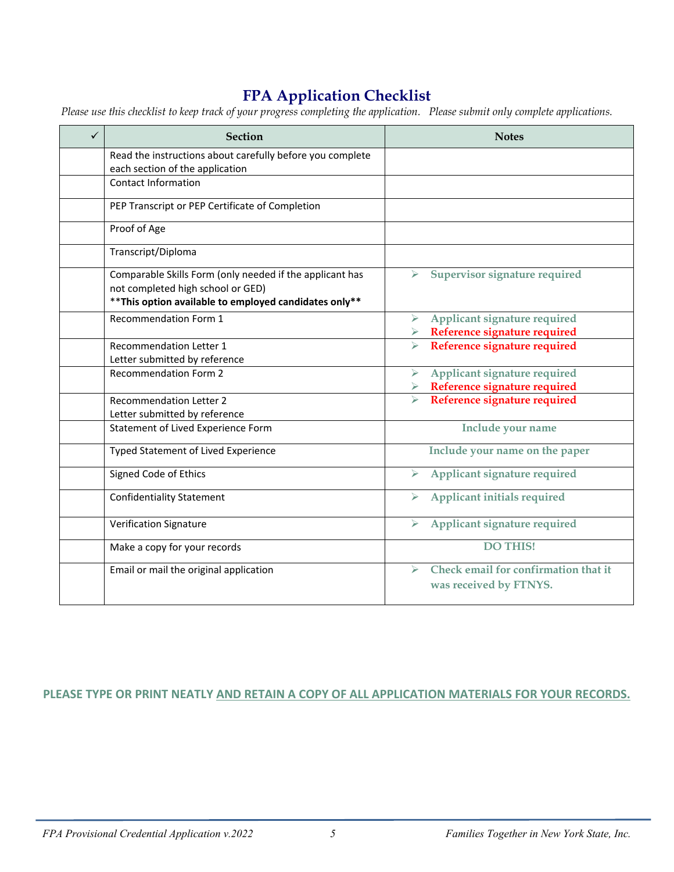## **FPA Application Checklist**

*Please use this checklist to keep track of your progress completing the application. Please submit only complete applications.*

| $\checkmark$ | <b>Section</b>                                                                                                                                          | <b>Notes</b>                                                                            |
|--------------|---------------------------------------------------------------------------------------------------------------------------------------------------------|-----------------------------------------------------------------------------------------|
|              | Read the instructions about carefully before you complete                                                                                               |                                                                                         |
|              | each section of the application                                                                                                                         |                                                                                         |
|              | <b>Contact Information</b>                                                                                                                              |                                                                                         |
|              | PEP Transcript or PEP Certificate of Completion                                                                                                         |                                                                                         |
|              | Proof of Age                                                                                                                                            |                                                                                         |
|              | Transcript/Diploma                                                                                                                                      |                                                                                         |
|              | Comparable Skills Form (only needed if the applicant has<br>not completed high school or GED)<br>** This option available to employed candidates only** | $\triangleright$ Supervisor signature required                                          |
|              | <b>Recommendation Form 1</b>                                                                                                                            | Applicant signature required<br>$\blacktriangleright$                                   |
|              |                                                                                                                                                         | $\triangleright$ Reference signature required                                           |
|              | <b>Recommendation Letter 1</b><br>Letter submitted by reference                                                                                         | Reference signature required<br>$\blacktriangleright$                                   |
|              | <b>Recommendation Form 2</b>                                                                                                                            | Applicant signature required<br>$\blacktriangleright$                                   |
|              |                                                                                                                                                         | Reference signature required                                                            |
|              | <b>Recommendation Letter 2</b>                                                                                                                          | Reference signature required<br>$\blacktriangleright$                                   |
|              | Letter submitted by reference                                                                                                                           |                                                                                         |
|              | Statement of Lived Experience Form                                                                                                                      | Include your name                                                                       |
|              | Typed Statement of Lived Experience                                                                                                                     | Include your name on the paper                                                          |
|              | Signed Code of Ethics                                                                                                                                   | Applicant signature required<br>➤                                                       |
|              | <b>Confidentiality Statement</b>                                                                                                                        | Applicant initials required                                                             |
|              | <b>Verification Signature</b>                                                                                                                           | Applicant signature required<br>⋗                                                       |
|              | Make a copy for your records                                                                                                                            | <b>DO THIS!</b>                                                                         |
|              | Email or mail the original application                                                                                                                  | Check email for confirmation that it<br>$\blacktriangleright$<br>was received by FTNYS. |

#### PLEASE TYPE OR PRINT NEATLY AND RETAIN A COPY OF ALL APPLICATION MATERIALS FOR YOUR RECORDS.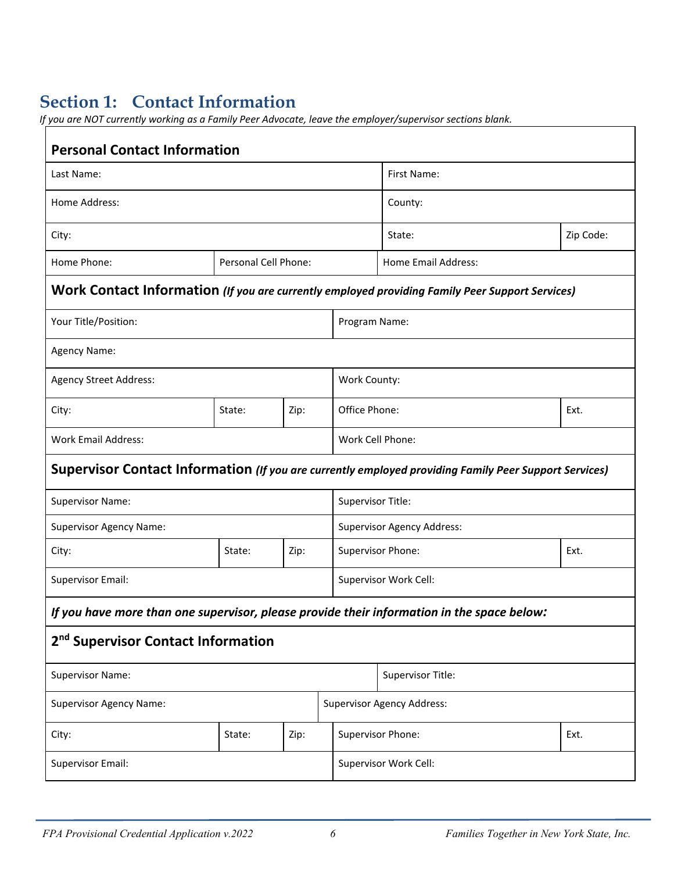## **Section 1: Contact Information**

*If you are NOT currently working as a Family Peer Advocate, leave the employer/supervisor sections blank.* 

| <b>Personal Contact Information</b>                                                                   |                      |      |                   |                                   |                            |           |  |
|-------------------------------------------------------------------------------------------------------|----------------------|------|-------------------|-----------------------------------|----------------------------|-----------|--|
| Last Name:                                                                                            |                      |      |                   |                                   | First Name:                |           |  |
| Home Address:                                                                                         |                      |      |                   |                                   | County:                    |           |  |
| City:                                                                                                 |                      |      |                   | State:                            |                            | Zip Code: |  |
| Home Phone:                                                                                           | Personal Cell Phone: |      |                   |                                   | <b>Home Email Address:</b> |           |  |
| Work Contact Information (If you are currently employed providing Family Peer Support Services)       |                      |      |                   |                                   |                            |           |  |
| Your Title/Position:                                                                                  |                      |      | Program Name:     |                                   |                            |           |  |
| <b>Agency Name:</b>                                                                                   |                      |      |                   |                                   |                            |           |  |
| Agency Street Address:                                                                                |                      |      | Work County:      |                                   |                            |           |  |
| City:                                                                                                 | State:               | Zip: |                   | Office Phone:<br>Ext.             |                            |           |  |
| <b>Work Email Address:</b>                                                                            |                      |      |                   | Work Cell Phone:                  |                            |           |  |
| Supervisor Contact Information (If you are currently employed providing Family Peer Support Services) |                      |      |                   |                                   |                            |           |  |
| <b>Supervisor Name:</b>                                                                               |                      |      | Supervisor Title: |                                   |                            |           |  |
| <b>Supervisor Agency Name:</b>                                                                        |                      |      |                   | <b>Supervisor Agency Address:</b> |                            |           |  |
| City:                                                                                                 | State:               | Zip: |                   | Supervisor Phone:<br>Ext.         |                            |           |  |
| <b>Supervisor Email:</b>                                                                              |                      |      |                   | Supervisor Work Cell:             |                            |           |  |
| If you have more than one supervisor, please provide their information in the space below:            |                      |      |                   |                                   |                            |           |  |
| 2 <sup>nd</sup> Supervisor Contact Information                                                        |                      |      |                   |                                   |                            |           |  |
| <b>Supervisor Name:</b>                                                                               |                      |      | Supervisor Title: |                                   |                            |           |  |
| <b>Supervisor Agency Name:</b>                                                                        |                      |      |                   | <b>Supervisor Agency Address:</b> |                            |           |  |
| City:                                                                                                 | State:               | Zip: |                   | Supervisor Phone:<br>Ext.         |                            |           |  |
| <b>Supervisor Email:</b>                                                                              |                      |      |                   | Supervisor Work Cell:             |                            |           |  |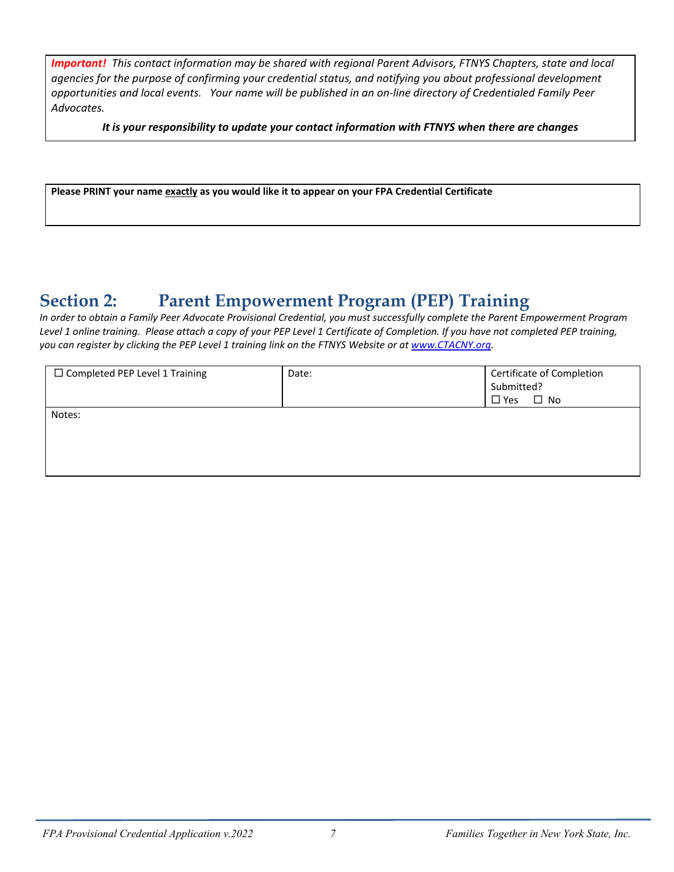*Important! This contact information may be shared with regional Parent Advisors, FTNYS Chapters, state and local agencies for the purpose of confirming your credential status, and notifying you about professional development opportunities and local events. Your name will be published in an on-line directory of Credentialed Family Peer Advocates.* 

*It is your responsibility to update your contact information with FTNYS when there are changes*

**Please PRINT your name exactly as you would like it to appear on your FPA Credential Certificate**

## **Section 2: Parent Empowerment Program (PEP) Training**

*In order to obtain a Family Peer Advocate Provisional Credential, you must successfully complete the Parent Empowerment Program Level 1 online training. Please attach a copy of your PEP Level 1 Certificate of Completion. If you have not completed PEP training, you can register by clicking the PEP Level 1 training link on the FTNYS Website or at [www.CTACNY.org.](http://www.ctacny.org/)* 

| □ Completed PEP Level 1 Training | Date: | Certificate of Completion<br>Submitted? |
|----------------------------------|-------|-----------------------------------------|
|                                  |       | $\Box$ No<br>$\square$ Yes              |
| Notes:                           |       |                                         |
|                                  |       |                                         |
|                                  |       |                                         |
|                                  |       |                                         |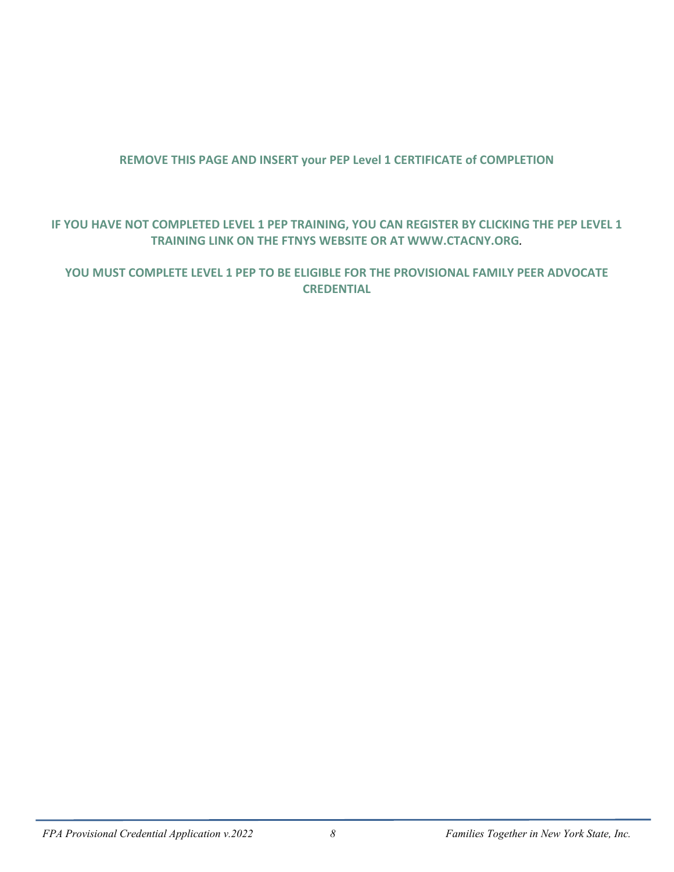#### **REMOVE THIS PAGE AND INSERT your PEP Level 1 CERTIFICATE of COMPLETION**

#### **IF YOU HAVE NOT COMPLETED LEVEL 1 PEP TRAINING, YOU CAN REGISTER BY CLICKING THE PEP LEVEL 1 TRAINING LINK ON THE FTNYS WEBSITE OR AT WWW.CTACNY.ORG***.*

#### **YOU MUST COMPLETE LEVEL 1 PEP TO BE ELIGIBLE FOR THE PROVISIONAL FAMILY PEER ADVOCATE CREDENTIAL**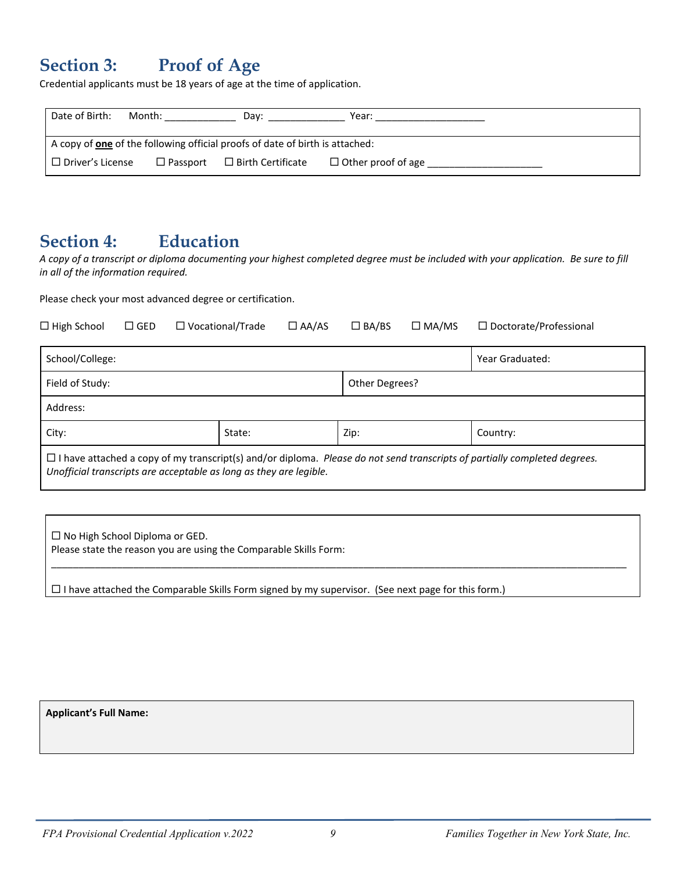## **Section 3: Proof of Age**

Credential applicants must be 18 years of age at the time of application.

| Date of Birth:                                                               | Month:             | Dav:                     | Year:                     |  |
|------------------------------------------------------------------------------|--------------------|--------------------------|---------------------------|--|
| A copy of one of the following official proofs of date of birth is attached: |                    |                          |                           |  |
| $\mathsf I\ \Box$ Driver's License                                           | $\square$ Passport | $\Box$ Birth Certificate | $\Box$ Other proof of age |  |

### **Section 4: Education**

*A copy of a transcript or diploma documenting your highest completed degree must be included with your application. Be sure to fill in all of the information required.*

Please check your most advanced degree or certification.

| $\Box$ High School                                                                                                                                                                                     | $\square$ GED | $\Box$ Vocational/Trade | $\Box$ AA/AS | $\Box$ BA/BS   | $\square$ MA/MS | $\Box$ Doctorate/Professional |
|--------------------------------------------------------------------------------------------------------------------------------------------------------------------------------------------------------|---------------|-------------------------|--------------|----------------|-----------------|-------------------------------|
| School/College:                                                                                                                                                                                        |               |                         |              |                |                 | Year Graduated:               |
| Field of Study:                                                                                                                                                                                        |               |                         |              | Other Degrees? |                 |                               |
| Address:                                                                                                                                                                                               |               |                         |              |                |                 |                               |
| City:                                                                                                                                                                                                  |               | State:                  |              | Zip:           |                 | Country:                      |
| $\Box$ I have attached a copy of my transcript(s) and/or diploma. Please do not send transcripts of partially completed degrees.<br>Unofficial transcripts are acceptable as long as they are legible. |               |                         |              |                |                 |                               |

\_\_\_\_\_\_\_\_\_\_\_\_\_\_\_\_\_\_\_\_\_\_\_\_\_\_\_\_\_\_\_\_\_\_\_\_\_\_\_\_\_\_\_\_\_\_\_\_\_\_\_\_\_\_\_\_\_\_\_\_\_\_\_\_\_\_\_\_\_\_\_\_\_\_\_\_\_\_\_\_\_\_\_\_\_\_\_\_\_\_\_\_\_\_\_\_\_\_\_\_\_\_\_\_\_

 $\Box$  No High School Diploma or GED. Please state the reason you are using the Comparable Skills Form:

 $\Box$  I have attached the Comparable Skills Form signed by my supervisor. (See next page for this form.)

**Applicant's Full Name:**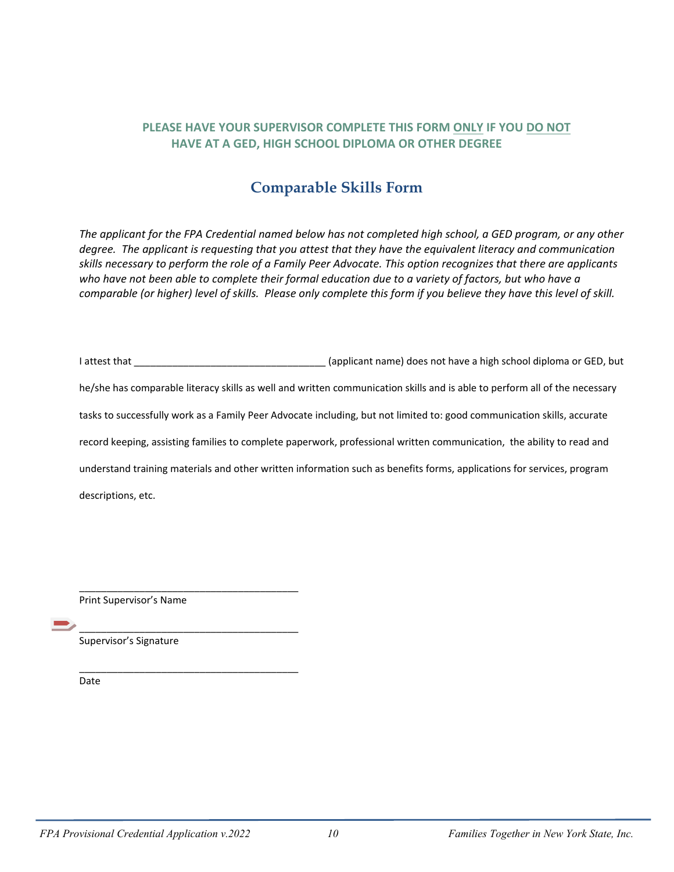#### **PLEASE HAVE YOUR SUPERVISOR COMPLETE THIS FORM ONLY IF YOU DO NOT HAVE AT A GED, HIGH SCHOOL DIPLOMA OR OTHER DEGREE**

#### **Comparable Skills Form**

*The applicant for the FPA Credential named below has not completed high school, a GED program, or any other degree. The applicant is requesting that you attest that they have the equivalent literacy and communication skills necessary to perform the role of a Family Peer Advocate. This option recognizes that there are applicants who have not been able to complete their formal education due to a variety of factors, but who have a comparable (or higher) level of skills. Please only complete this form if you believe they have this level of skill.*

I attest that \_\_\_\_\_\_\_\_\_\_\_\_\_\_\_\_\_\_\_\_\_\_\_\_\_\_\_\_\_\_\_\_\_\_\_ (applicant name) does not have a high school diploma or GED, but he/she has comparable literacy skills as well and written communication skills and is able to perform all of the necessary tasks to successfully work as a Family Peer Advocate including, but not limited to: good communication skills, accurate record keeping, assisting families to complete paperwork, professional written communication, the ability to read and understand training materials and other written information such as benefits forms, applications for services, program descriptions, etc.

Print Supervisor's Name

\_\_\_\_\_\_\_\_\_\_\_\_\_\_\_\_\_\_\_\_\_\_\_\_\_\_\_\_\_\_\_\_\_\_\_\_\_\_\_\_

\_\_\_\_\_\_\_\_\_\_\_\_\_\_\_\_\_\_\_\_\_\_\_\_\_\_\_\_\_\_\_\_\_\_\_\_\_\_\_\_

\_\_\_\_\_\_\_\_\_\_\_\_\_\_\_\_\_\_\_\_\_\_\_\_\_\_\_\_\_\_\_\_\_\_\_\_\_\_\_\_

Supervisor's Signature

Date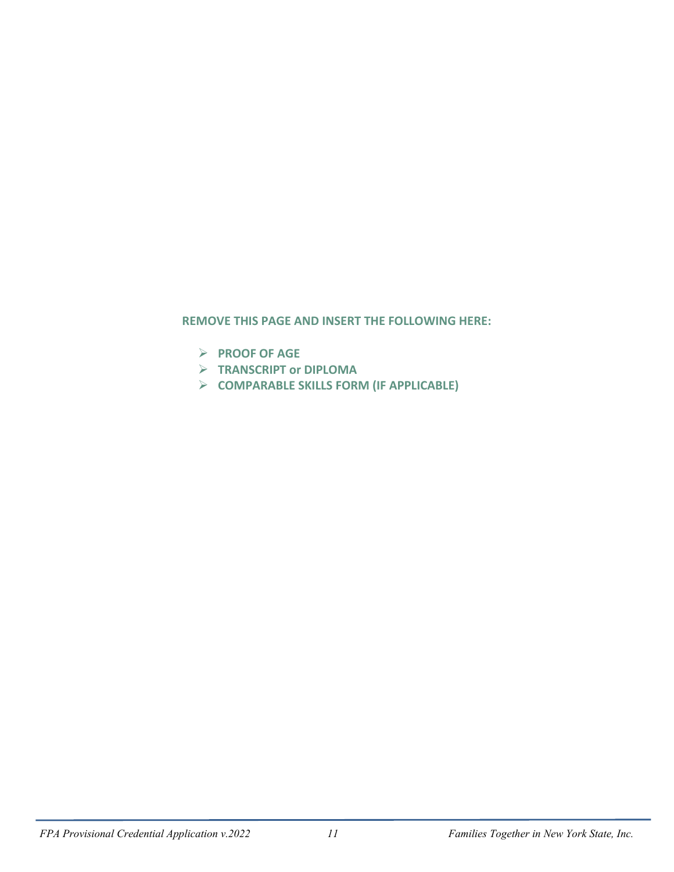#### **REMOVE THIS PAGE AND INSERT THE FOLLOWING HERE:**

- **PROOF OF AGE**
- **TRANSCRIPT or DIPLOMA**
- **COMPARABLE SKILLS FORM (IF APPLICABLE)**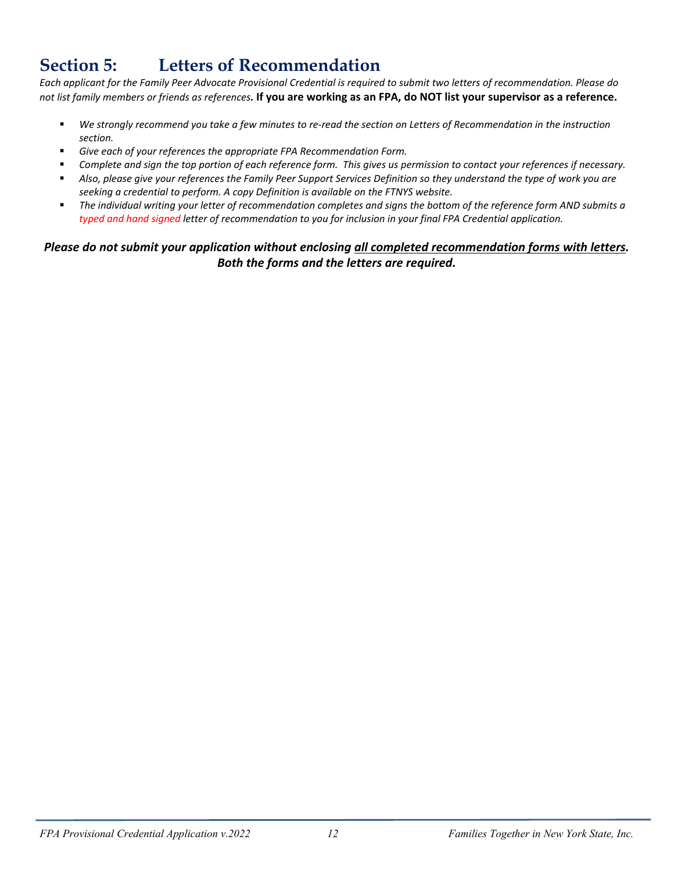## **Section 5: Letters of Recommendation**

*Each applicant for the Family Peer Advocate Provisional Credential is required to submit two letters of recommendation. Please do not list family members or friends as references.* **If you are working as an FPA, do NOT list your supervisor as a reference.**

- *We strongly recommend you take a few minutes to re-read the section on Letters of Recommendation in the instruction section.*
- *Give each of your references the appropriate FPA Recommendation Form.*
- *Complete and sign the top portion of each reference form. This gives us permission to contact your references if necessary.*
- *Also, please give your references the Family Peer Support Services Definition so they understand the type of work you are seeking a credential to perform. A copy Definition is available on the FTNYS website.*
- *The individual writing your letter of recommendation completes and signs the bottom of the reference form AND submits a typed and hand signed letter of recommendation to you for inclusion in your final FPA Credential application.*

#### *Please do not submit your application without enclosing all completed recommendation forms with letters. Both the forms and the letters are required.*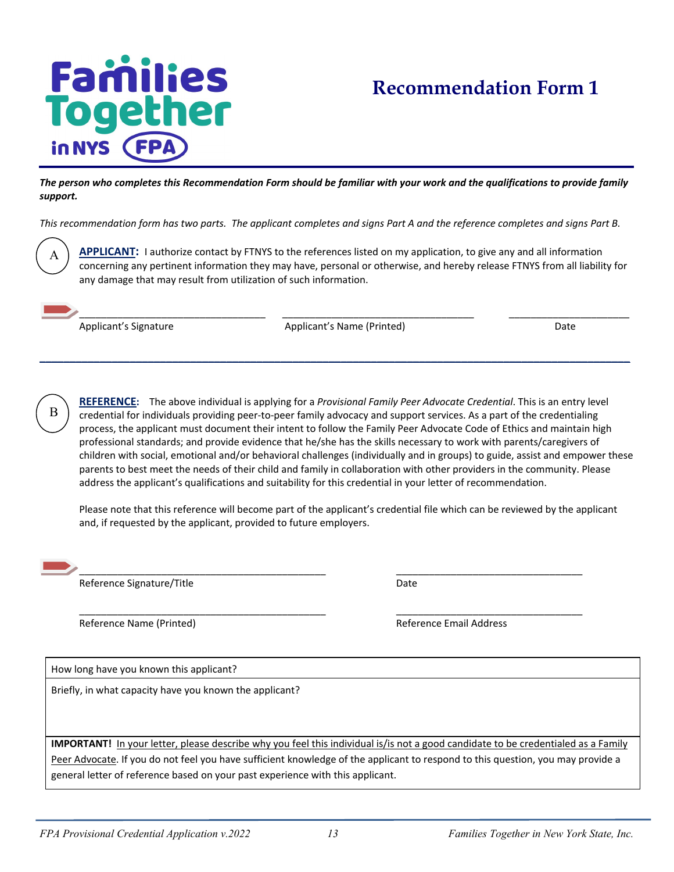## **Families Together** in NYS

## **Recommendation Form 1**

*The person who completes this Recommendation Form should be familiar with your work and the qualifications to provide family support.* 

*This recommendation form has two parts. The applicant completes and signs Part A and the reference completes and signs Part B.* 

A

**APPLICANT:** I authorize contact by FTNYS to the references listed on my application, to give any and all information concerning any pertinent information they may have, personal or otherwise, and hereby release FTNYS from all liability for any damage that may result from utilization of such information.

\_\_\_\_\_\_\_\_\_\_\_\_\_\_\_\_\_\_\_\_\_\_\_\_\_\_\_\_\_\_\_\_\_\_ \_\_\_\_\_\_\_\_\_\_\_\_\_\_\_\_\_\_\_\_\_\_\_\_\_\_\_\_\_\_\_\_\_\_\_ \_\_\_\_\_\_\_\_\_\_\_\_\_\_\_\_\_\_\_\_\_\_ Applicant's Signature **Applicant's Name (Printed)** Applicant's Name (Printed) and Applicant's Name (Printed)

**\_\_\_\_\_\_\_\_\_\_\_\_\_\_\_\_\_\_\_\_\_\_\_\_\_\_\_\_\_\_\_\_\_\_\_\_\_\_\_\_\_\_\_\_\_\_\_\_\_\_\_\_\_\_\_\_\_\_\_\_\_\_\_\_\_\_\_\_\_\_\_\_\_\_\_\_\_\_\_\_\_\_\_\_\_\_\_\_\_\_\_\_\_\_\_\_\_\_**



**REFERENCE:** The above individual is applying for a *Provisional Family Peer Advocate Credential*. This is an entry level credential for individuals providing peer-to-peer family advocacy and support services. As a part of the credentialing process, the applicant must document their intent to follow the Family Peer Advocate Code of Ethics and maintain high professional standards; and provide evidence that he/she has the skills necessary to work with parents/caregivers of children with social, emotional and/or behavioral challenges (individually and in groups) to guide, assist and empower these parents to best meet the needs of their child and family in collaboration with other providers in the community. Please address the applicant's qualifications and suitability for this credential in your letter of recommendation.

Please note that this reference will become part of the applicant's credential file which can be reviewed by the applicant and, if requested by the applicant, provided to future employers.



\_\_\_\_\_\_\_\_\_\_\_\_\_\_\_\_\_\_\_\_\_\_\_\_\_\_\_\_\_\_\_\_\_\_\_\_\_\_\_\_\_\_\_\_\_ \_\_\_\_\_\_\_\_\_\_\_\_\_\_\_\_\_\_\_\_\_\_\_\_\_\_\_\_\_\_\_\_\_\_ Reference Signature/Title **Date** Date

\_\_\_\_\_\_\_\_\_\_\_\_\_\_\_\_\_\_\_\_\_\_\_\_\_\_\_\_\_\_\_\_\_\_\_\_\_\_\_\_\_\_\_\_\_ \_\_\_\_\_\_\_\_\_\_\_\_\_\_\_\_\_\_\_\_\_\_\_\_\_\_\_\_\_\_\_\_\_\_ Reference Name (Printed) and a settlement of the Reference Email Address

How long have you known this applicant?

Briefly, in what capacity have you known the applicant?

**IMPORTANT!** In your letter, please describe why you feel this individual is/is not a good candidate to be credentialed as a Family Peer Advocate. If you do not feel you have sufficient knowledge of the applicant to respond to this question, you may provide a general letter of reference based on your past experience with this applicant.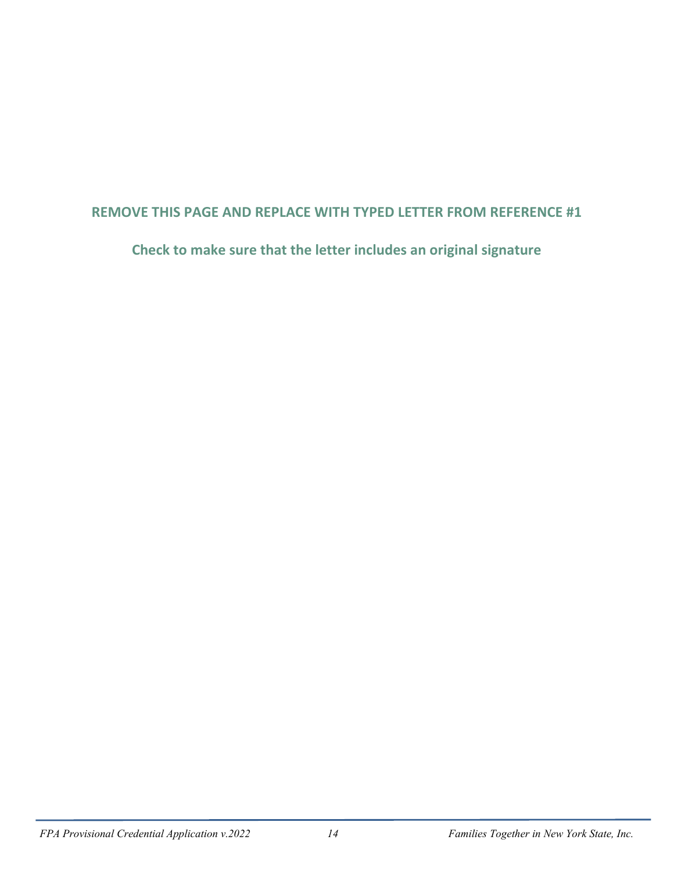#### **REMOVE THIS PAGE AND REPLACE WITH TYPED LETTER FROM REFERENCE #1**

**Check to make sure that the letter includes an original signature**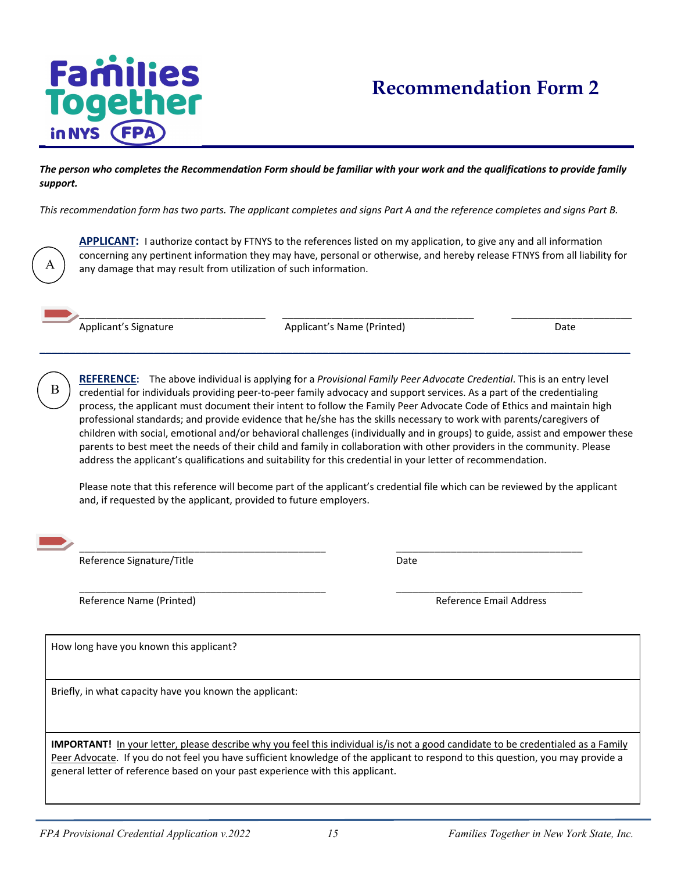## **Families Together** in NYS (FPA

## **Recommendation Form 2**

*The person who completes the Recommendation Form should be familiar with your work and the qualifications to provide family support.*

*This recommendation form has two parts. The applicant completes and signs Part A and the reference completes and signs Part B.* 

**APPLICANT:** I authorize contact by FTNYS to the references listed on my application, to give any and all information concerning any pertinent information they may have, personal or otherwise, and hereby release FTNYS from all liability for any damage that may result from utilization of such information.

Applicant's Signature The Communication of Applicant's Name (Printed) and Date Communication of Date

**\_\_\_\_\_\_\_\_\_\_\_\_\_\_\_\_\_\_\_\_\_\_\_\_\_\_\_\_\_\_\_\_\_\_\_\_\_\_\_\_\_\_\_\_\_\_\_\_\_\_\_\_\_\_\_\_\_\_\_\_\_\_\_\_\_\_\_\_\_\_\_\_\_\_\_\_\_\_\_\_\_\_\_\_\_\_\_\_\_\_\_\_\_\_\_\_\_\_**

\_\_\_\_\_\_\_\_\_\_\_\_\_\_\_\_\_\_\_\_\_\_\_\_\_\_\_\_\_\_\_\_\_\_ \_\_\_\_\_\_\_\_\_\_\_\_\_\_\_\_\_\_\_\_\_\_\_\_\_\_\_\_\_\_\_\_\_\_\_ \_\_\_\_\_\_\_\_\_\_\_\_\_\_\_\_\_\_\_\_\_\_

**REFERENCE:** The above individual is applying for a *Provisional Family Peer Advocate Credential*. This is an entry level credential for individuals providing peer-to-peer family advocacy and support services. As a part of the credentialing process, the applicant must document their intent to follow the Family Peer Advocate Code of Ethics and maintain high professional standards; and provide evidence that he/she has the skills necessary to work with parents/caregivers of children with social, emotional and/or behavioral challenges (individually and in groups) to guide, assist and empower these parents to best meet the needs of their child and family in collaboration with other providers in the community. Please address the applicant's qualifications and suitability for this credential in your letter of recommendation.

Please note that this reference will become part of the applicant's credential file which can be reviewed by the applicant and, if requested by the applicant, provided to future employers.

\_\_\_\_\_\_\_\_\_\_\_\_\_\_\_\_\_\_\_\_\_\_\_\_\_\_\_\_\_\_\_\_\_\_\_\_\_\_\_\_\_\_\_\_\_ \_\_\_\_\_\_\_\_\_\_\_\_\_\_\_\_\_\_\_\_\_\_\_\_\_\_\_\_\_\_\_\_\_\_

B

A

Reference Signature/Title **Date** Date Date Date

\_\_\_\_\_\_\_\_\_\_\_\_\_\_\_\_\_\_\_\_\_\_\_\_\_\_\_\_\_\_\_\_\_\_\_\_\_\_\_\_\_\_\_\_\_ \_\_\_\_\_\_\_\_\_\_\_\_\_\_\_\_\_\_\_\_\_\_\_\_\_\_\_\_\_\_\_\_\_\_ Reference Name (Printed) and Communication of the Reference Email Address and Communication of the Reference Email Address

How long have you known this applicant?

Briefly, in what capacity have you known the applicant:

**IMPORTANT!** In your letter, please describe why you feel this individual is/is not a good candidate to be credentialed as a Family Peer Advocate. If you do not feel you have sufficient knowledge of the applicant to respond to this question, you may provide a general letter of reference based on your past experience with this applicant.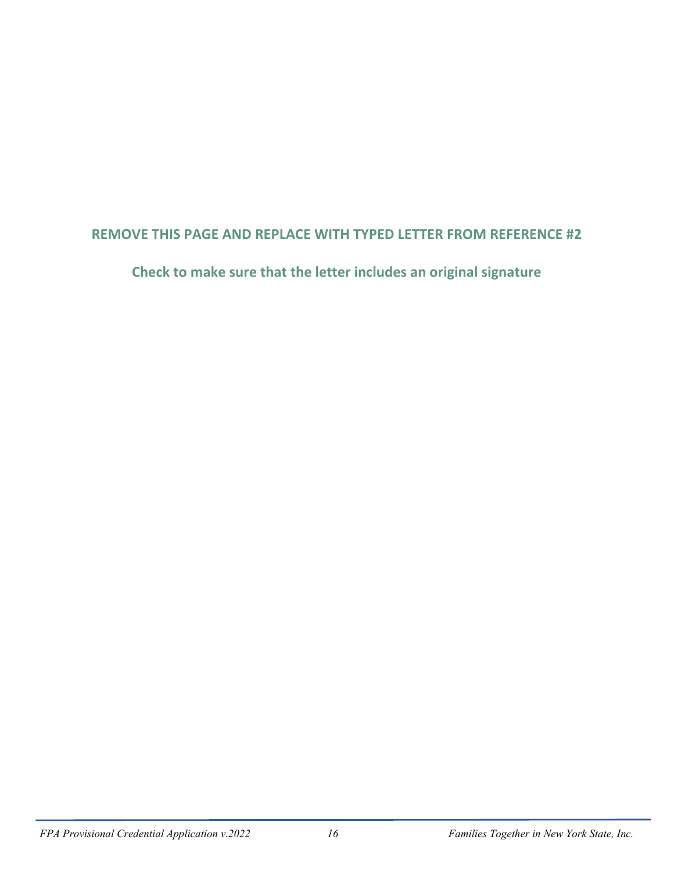#### **REMOVE THIS PAGE AND REPLACE WITH TYPED LETTER FROM REFERENCE #2**

**Check to make sure that the letter includes an original signature**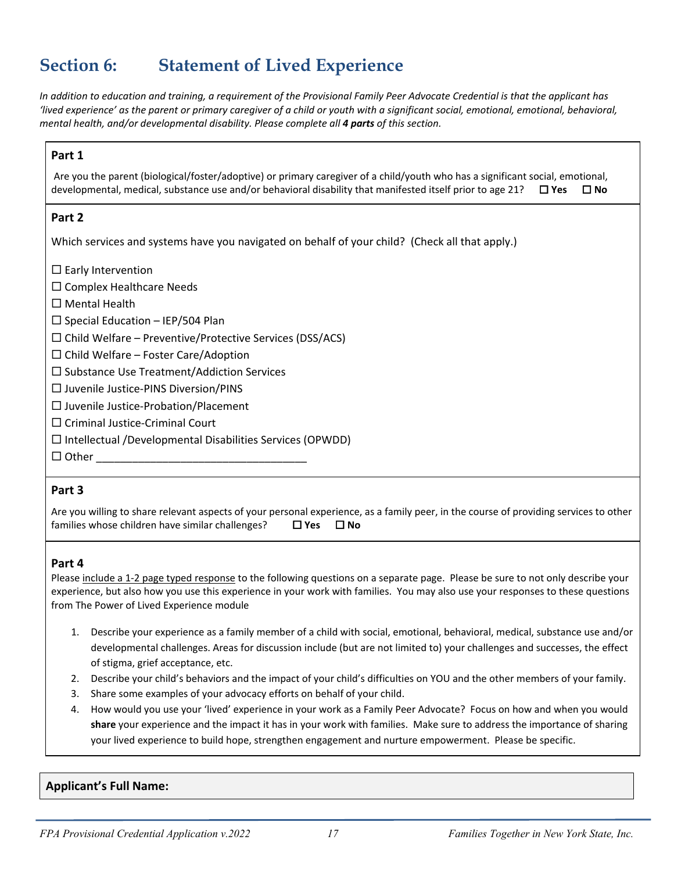## **Section 6: Statement of Lived Experience**

*In addition to education and training, a requirement of the Provisional Family Peer Advocate Credential is that the applicant has 'lived experience' as the parent or primary caregiver of a child or youth with a significant social, emotional, emotional, behavioral, mental health, and/or developmental disability. Please complete all 4 parts of this section.* 

#### **Part 1**

Are you the parent (biological/foster/adoptive) or primary caregiver of a child/youth who has a significant social, emotional, developmental, medical, substance use and/or behavioral disability that manifested itself prior to age 21? **Yes No**

#### **Part 2**

Which services and systems have you navigated on behalf of your child? (Check all that apply.)

 $\square$  Early Intervention

 $\square$  Complex Healthcare Needs

□ Mental Health

 $\square$  Special Education – IEP/504 Plan

 $\square$  Child Welfare – Preventive/Protective Services (DSS/ACS)

 $\Box$  Child Welfare – Foster Care/Adoption

 $\square$  Substance Use Treatment/Addiction Services

 $\square$  Juvenile Justice-PINS Diversion/PINS

 $\square$  Juvenile Justice-Probation/Placement

 $\square$  Criminal Justice-Criminal Court

 $\Box$  Intellectual /Developmental Disabilities Services (OPWDD)

Other \_\_\_\_\_\_\_\_\_\_\_\_\_\_\_\_\_\_\_\_\_\_\_\_\_\_\_\_\_\_\_\_\_\_\_

#### **Part 3**

Are you willing to share relevant aspects of your personal experience, as a family peer, in the course of providing services to other families whose children have similar challenges? **Yes No**

#### **Part 4**

Please include a 1-2 page typed response to the following questions on a separate page. Please be sure to not only describe your experience, but also how you use this experience in your work with families. You may also use your responses to these questions from The Power of Lived Experience module

- 1. Describe your experience as a family member of a child with social, emotional, behavioral, medical, substance use and/or developmental challenges. Areas for discussion include (but are not limited to) your challenges and successes, the effect of stigma, grief acceptance, etc.
- 2. Describe your child's behaviors and the impact of your child's difficulties on YOU and the other members of your family.
- 3. Share some examples of your advocacy efforts on behalf of your child.
- 4. How would you use your 'lived' experience in your work as a Family Peer Advocate? Focus on how and when you would<br>And the state of the contract of the contract of the contract of the contract of the contract of the cont **share** your experience and the impact it has in your work with families. Make sure to address the importance of sharing your lived experience to build hope, strengthen engagement and nurture empowerment. Please be specific.

#### **Applicant's Full Name:**

i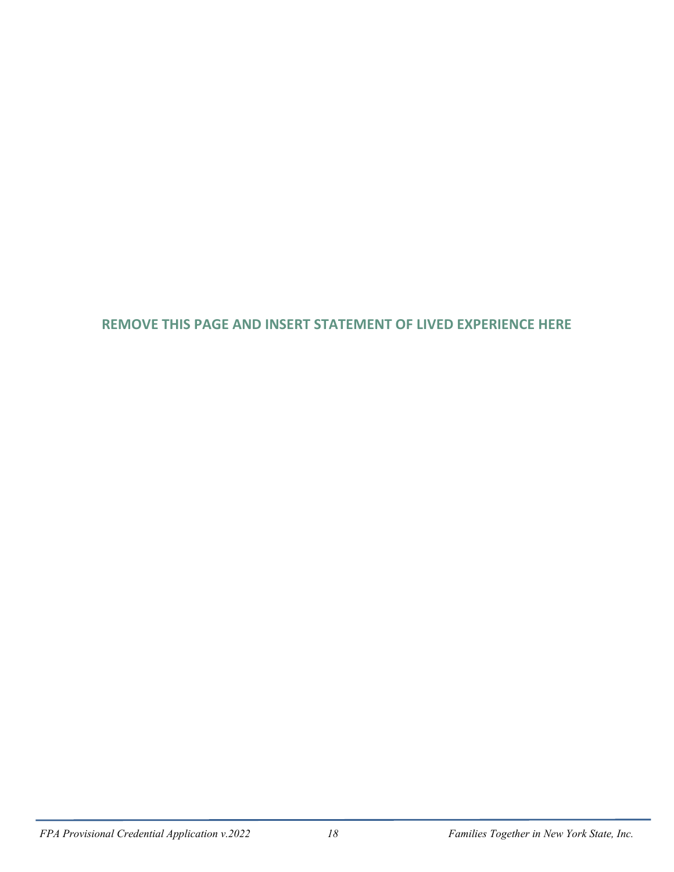#### **REMOVE THIS PAGE AND INSERT STATEMENT OF LIVED EXPERIENCE HERE**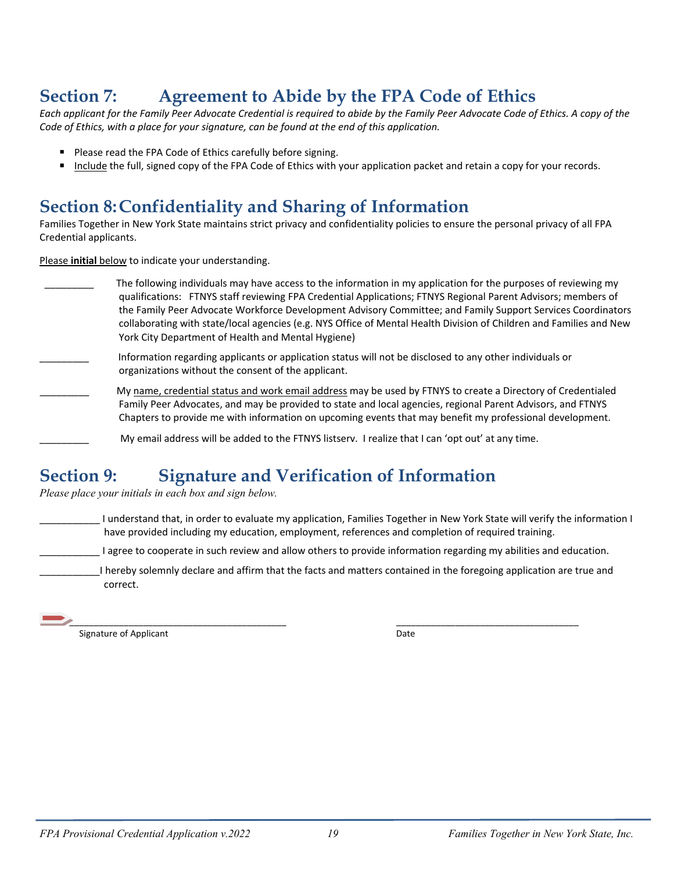## **Section 7: Agreement to Abide by the FPA Code of Ethics**

*Each applicant for the Family Peer Advocate Credential is required to abide by the Family Peer Advocate Code of Ethics. A copy of the Code of Ethics, with a place for your signature, can be found at the end of this application.* 

- **Please read the FPA Code of Ethics carefully before signing.**
- Include the full, signed copy of the FPA Code of Ethics with your application packet and retain a copy for your records.

## **Section 8: Confidentiality and Sharing of Information**

Families Together in New York State maintains strict privacy and confidentiality policies to ensure the personal privacy of all FPA Credential applicants.

Please **initial** below to indicate your understanding.

| The following individuals may have access to the information in my application for the purposes of reviewing my<br>qualifications: FTNYS staff reviewing FPA Credential Applications; FTNYS Regional Parent Advisors; members of<br>the Family Peer Advocate Workforce Development Advisory Committee; and Family Support Services Coordinators<br>collaborating with state/local agencies (e.g. NYS Office of Mental Health Division of Children and Families and New<br>York City Department of Health and Mental Hygiene) |
|------------------------------------------------------------------------------------------------------------------------------------------------------------------------------------------------------------------------------------------------------------------------------------------------------------------------------------------------------------------------------------------------------------------------------------------------------------------------------------------------------------------------------|
| Information regarding applicants or application status will not be disclosed to any other individuals or<br>organizations without the consent of the applicant.                                                                                                                                                                                                                                                                                                                                                              |
| My name, credential status and work email address may be used by FTNYS to create a Directory of Credentialed<br>Family Peer Advocates, and may be provided to state and local agencies, regional Parent Advisors, and FTNYS<br>Chapters to provide me with information on upcoming events that may benefit my professional development.                                                                                                                                                                                      |
| My email address will be added to the FTNYS listserv. I realize that I can 'opt out' at any time.                                                                                                                                                                                                                                                                                                                                                                                                                            |

## **Section 9: Signature and Verification of Information**

*Please place your initials in each box and sign below.* 

I understand that, in order to evaluate my application, Families Together in New York State will verify the information I have provided including my education, employment, references and completion of required training.

I agree to cooperate in such review and allow others to provide information regarding my abilities and education.

\_\_\_\_\_\_\_\_\_\_\_I hereby solemnly declare and affirm that the facts and matters contained in the foregoing application are true and correct.

| ________________<br>__________<br>_____ |  |
|-----------------------------------------|--|
| ١ſ                                      |  |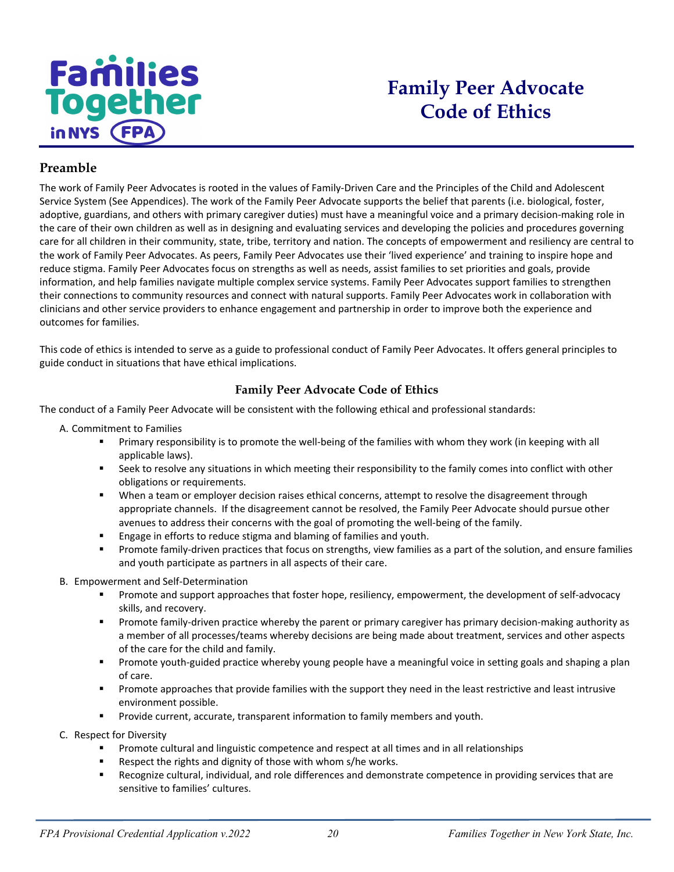

## **Family Peer Advocate Code of Ethics**

#### **Preamble**

The work of Family Peer Advocates is rooted in the values of Family-Driven Care and the Principles of the Child and Adolescent Service System (See Appendices). The work of the Family Peer Advocate supports the belief that parents (i.e. biological, foster, adoptive, guardians, and others with primary caregiver duties) must have a meaningful voice and a primary decision-making role in the care of their own children as well as in designing and evaluating services and developing the policies and procedures governing care for all children in their community, state, tribe, territory and nation. The concepts of empowerment and resiliency are central to the work of Family Peer Advocates. As peers, Family Peer Advocates use their 'lived experience' and training to inspire hope and reduce stigma. Family Peer Advocates focus on strengths as well as needs, assist families to set priorities and goals, provide information, and help families navigate multiple complex service systems. Family Peer Advocates support families to strengthen their connections to community resources and connect with natural supports. Family Peer Advocates work in collaboration with clinicians and other service providers to enhance engagement and partnership in order to improve both the experience and outcomes for families.

This code of ethics is intended to serve as a guide to professional conduct of Family Peer Advocates. It offers general principles to guide conduct in situations that have ethical implications.

#### **Family Peer Advocate Code of Ethics**

The conduct of a Family Peer Advocate will be consistent with the following ethical and professional standards:

- A. Commitment to Families
	- Primary responsibility is to promote the well-being of the families with whom they work (in keeping with all applicable laws).
	- Seek to resolve any situations in which meeting their responsibility to the family comes into conflict with other obligations or requirements.
	- **When a team or employer decision raises ethical concerns, attempt to resolve the disagreement through** appropriate channels. If the disagreement cannot be resolved, the Family Peer Advocate should pursue other avenues to address their concerns with the goal of promoting the well-being of the family.
	- **Engage in efforts to reduce stigma and blaming of families and youth.**
	- **Promote family-driven practices that focus on strengths, view families as a part of the solution, and ensure families** and youth participate as partners in all aspects of their care.
- B. Empowerment and Self-Determination
	- **Promote and support approaches that foster hope, resiliency, empowerment, the development of self-advocacy** skills, and recovery.
	- **Promote family-driven practice whereby the parent or primary caregiver has primary decision-making authority as** a member of all processes/teams whereby decisions are being made about treatment, services and other aspects of the care for the child and family.
	- Promote youth-guided practice whereby young people have a meaningful voice in setting goals and shaping a plan of care.
	- **Promote approaches that provide families with the support they need in the least restrictive and least intrusive** environment possible.
	- **Provide current, accurate, transparent information to family members and youth.**
- C. Respect for Diversity
	- Promote cultural and linguistic competence and respect at all times and in all relationships
	- Respect the rights and dignity of those with whom s/he works.
	- Recognize cultural, individual, and role differences and demonstrate competence in providing services that are sensitive to families' cultures.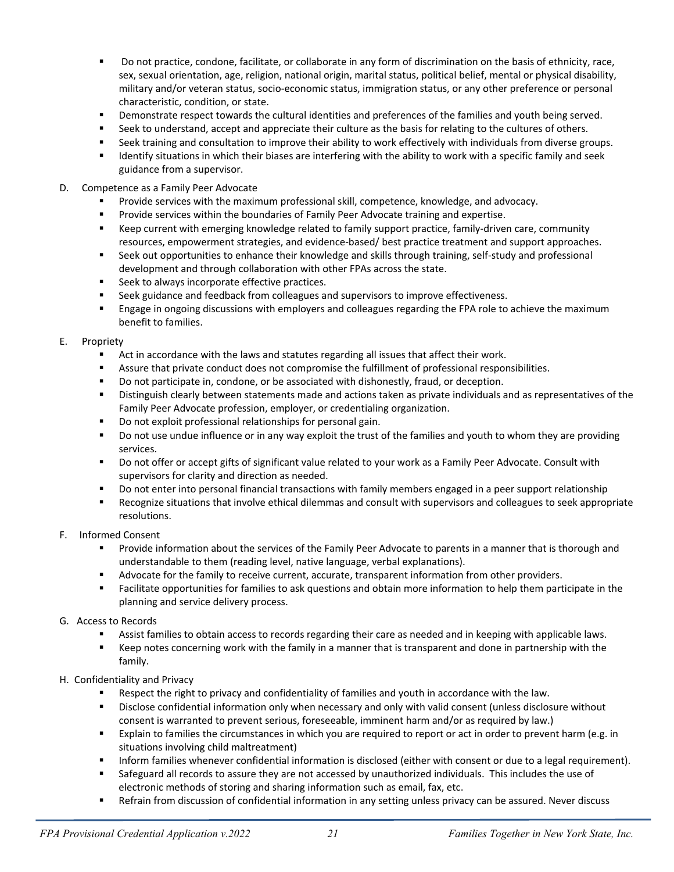- Do not practice, condone, facilitate, or collaborate in any form of discrimination on the basis of ethnicity, race, sex, sexual orientation, age, religion, national origin, marital status, political belief, mental or physical disability, military and/or veteran status, socio-economic status, immigration status, or any other preference or personal characteristic, condition, or state.
- **Phononal interporal is absolute in the cultural identities and preferences of the families and youth being served.**
- Seek to understand, accept and appreciate their culture as the basis for relating to the cultures of others.
- Seek training and consultation to improve their ability to work effectively with individuals from diverse groups.
- **If all identify situations in which their biases are interfering with the ability to work with a specific family and seek** guidance from a supervisor.
- D. Competence as a Family Peer Advocate
	- Provide services with the maximum professional skill, competence, knowledge, and advocacy.
	- Provide services within the boundaries of Family Peer Advocate training and expertise.
	- **EXECT** Keep current with emerging knowledge related to family support practice, family-driven care, community resources, empowerment strategies, and evidence-based/ best practice treatment and support approaches.
	- Seek out opportunities to enhance their knowledge and skills through training, self-study and professional development and through collaboration with other FPAs across the state.
	- Seek to always incorporate effective practices.
	- **Seek guidance and feedback from colleagues and supervisors to improve effectiveness.**
	- **E** Engage in ongoing discussions with employers and colleagues regarding the FPA role to achieve the maximum benefit to families.

#### E. Propriety

- Act in accordance with the laws and statutes regarding all issues that affect their work.
- Assure that private conduct does not compromise the fulfillment of professional responsibilities.
- **Do not participate in, condone, or be associated with dishonestly, fraud, or deception.**
- **Distinguish clearly between statements made and actions taken as private individuals and as representatives of the** Family Peer Advocate profession, employer, or credentialing organization.
- Do not exploit professional relationships for personal gain.
- **Do not use undue influence or in any way exploit the trust of the families and youth to whom they are providing** services.
- Do not offer or accept gifts of significant value related to your work as a Family Peer Advocate. Consult with supervisors for clarity and direction as needed.
- Do not enter into personal financial transactions with family members engaged in a peer support relationship
- Recognize situations that involve ethical dilemmas and consult with supervisors and colleagues to seek appropriate resolutions.

#### F. Informed Consent

- Provide information about the services of the Family Peer Advocate to parents in a manner that is thorough and understandable to them (reading level, native language, verbal explanations).
- Advocate for the family to receive current, accurate, transparent information from other providers.
- Facilitate opportunities for families to ask questions and obtain more information to help them participate in the planning and service delivery process.

#### G. Access to Records

- Assist families to obtain access to records regarding their care as needed and in keeping with applicable laws.
- Keep notes concerning work with the family in a manner that is transparent and done in partnership with the family.

#### H. Confidentiality and Privacy

- Respect the right to privacy and confidentiality of families and youth in accordance with the law.
- Disclose confidential information only when necessary and only with valid consent (unless disclosure without consent is warranted to prevent serious, foreseeable, imminent harm and/or as required by law.)
- Explain to families the circumstances in which you are required to report or act in order to prevent harm (e.g. in situations involving child maltreatment)
- Inform families whenever confidential information is disclosed (either with consent or due to a legal requirement).
- **Safeguard all records to assure they are not accessed by unauthorized individuals. This includes the use of** electronic methods of storing and sharing information such as email, fax, etc.
- Refrain from discussion of confidential information in any setting unless privacy can be assured. Never discuss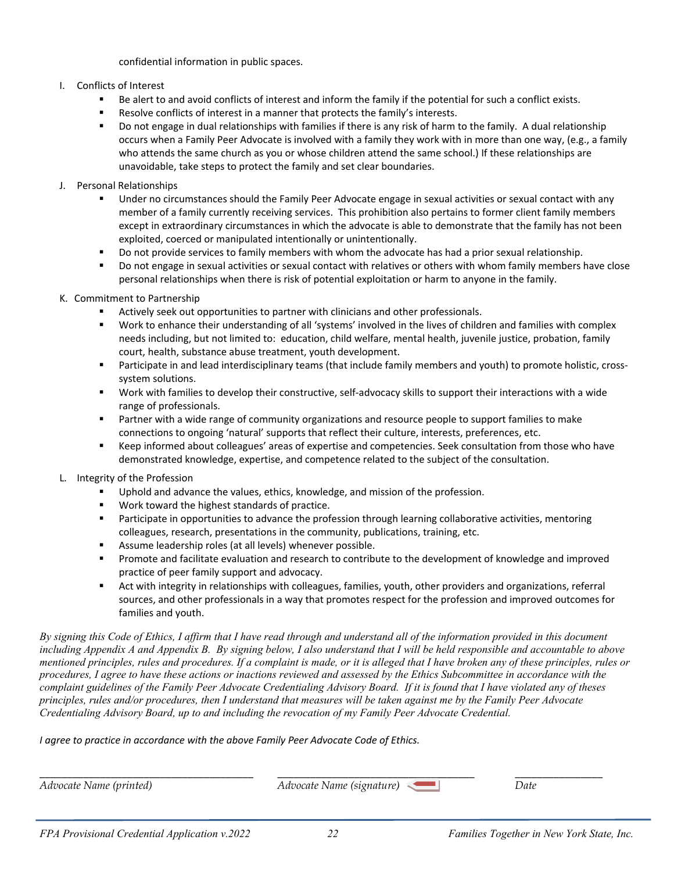confidential information in public spaces.

#### I. Conflicts of Interest

- Be alert to and avoid conflicts of interest and inform the family if the potential for such a conflict exists.
- Resolve conflicts of interest in a manner that protects the family's interests.
- Do not engage in dual relationships with families if there is any risk of harm to the family. A dual relationship occurs when a Family Peer Advocate is involved with a family they work with in more than one way, (e.g., a family who attends the same church as you or whose children attend the same school.) If these relationships are unavoidable, take steps to protect the family and set clear boundaries.

#### J. Personal Relationships

- Under no circumstances should the Family Peer Advocate engage in sexual activities or sexual contact with any member of a family currently receiving services. This prohibition also pertains to former client family members except in extraordinary circumstances in which the advocate is able to demonstrate that the family has not been exploited, coerced or manipulated intentionally or unintentionally.
- **Do not provide services to family members with whom the advocate has had a prior sexual relationship.**
- Do not engage in sexual activities or sexual contact with relatives or others with whom family members have close personal relationships when there is risk of potential exploitation or harm to anyone in the family.

#### K. Commitment to Partnership

- Actively seek out opportunities to partner with clinicians and other professionals.
- Work to enhance their understanding of all 'systems' involved in the lives of children and families with complex needs including, but not limited to: education, child welfare, mental health, juvenile justice, probation, family court, health, substance abuse treatment, youth development.
- Participate in and lead interdisciplinary teams (that include family members and youth) to promote holistic, crosssystem solutions.
- Work with families to develop their constructive, self-advocacy skills to support their interactions with a wide range of professionals.
- **Partner with a wide range of community organizations and resource people to support families to make** connections to ongoing 'natural' supports that reflect their culture, interests, preferences, etc.
- E Keep informed about colleagues' areas of expertise and competencies. Seek consultation from those who have demonstrated knowledge, expertise, and competence related to the subject of the consultation.
- L. Integrity of the Profession
	- Uphold and advance the values, ethics, knowledge, and mission of the profession.
	- Work toward the highest standards of practice.
	- **Participate in opportunities to advance the profession through learning collaborative activities, mentoring** colleagues, research, presentations in the community, publications, training, etc.
	- Assume leadership roles (at all levels) whenever possible.
	- Promote and facilitate evaluation and research to contribute to the development of knowledge and improved practice of peer family support and advocacy.
	- Act with integrity in relationships with colleagues, families, youth, other providers and organizations, referral sources, and other professionals in a way that promotes respect for the profession and improved outcomes for families and youth.

*By signing this Code of Ethics, I affirm that I have read through and understand all of the information provided in this document including Appendix A and Appendix B. By signing below, I also understand that I will be held responsible and accountable to above mentioned principles, rules and procedures. If a complaint is made, or it is alleged that I have broken any of these principles, rules or procedures, I agree to have these actions or inactions reviewed and assessed by the Ethics Subcommittee in accordance with the complaint guidelines of the Family Peer Advocate Credentialing Advisory Board. If it is found that I have violated any of theses principles, rules and/or procedures, then I understand that measures will be taken against me by the Family Peer Advocate Credentialing Advisory Board, up to and including the revocation of my Family Peer Advocate Credential.*

*I agree to practice in accordance with the above Family Peer Advocate Code of Ethics.*

*Advocate Name (printed) Advocate Name (signature) Date*

\_\_\_\_\_\_\_\_\_\_\_\_\_\_\_\_\_\_\_\_\_\_\_\_\_\_\_\_\_\_\_\_\_\_\_\_\_\_\_ \_\_\_\_\_\_\_\_\_\_\_\_\_\_\_\_\_\_\_\_\_\_\_\_\_\_\_\_\_\_\_\_\_\_\_\_ \_\_\_\_\_\_\_\_\_\_\_\_\_\_\_\_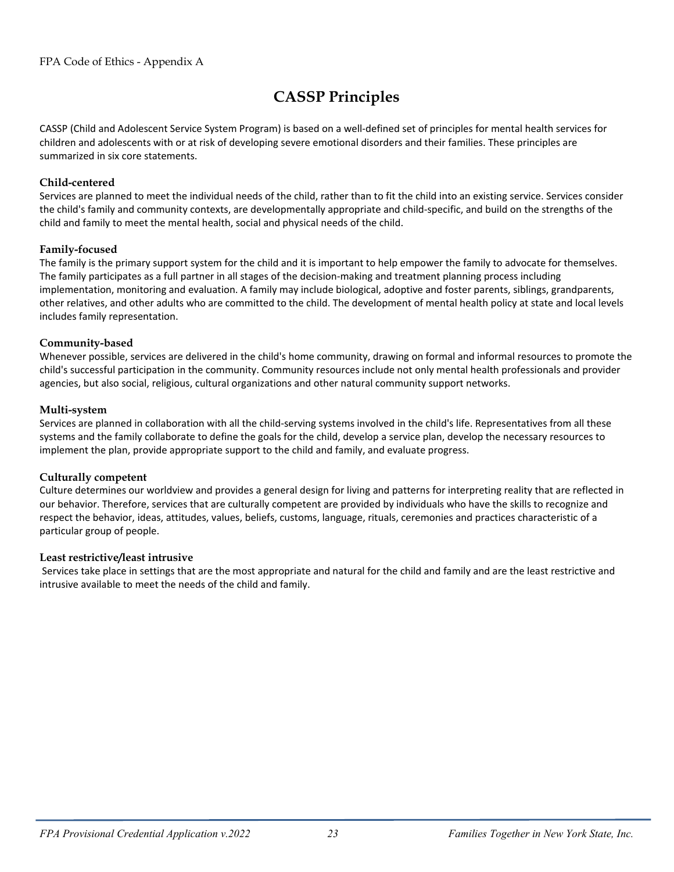## **CASSP Principles**

CASSP (Child and Adolescent Service System Program) is based on a well-defined set of principles for mental health services for children and adolescents with or at risk of developing severe emotional disorders and their families. These principles are summarized in six core statements.

#### **Child-centered**

Services are planned to meet the individual needs of the child, rather than to fit the child into an existing service. Services consider the child's family and community contexts, are developmentally appropriate and child-specific, and build on the strengths of the child and family to meet the mental health, social and physical needs of the child.

#### **Family-focused**

The family is the primary support system for the child and it is important to help empower the family to advocate for themselves. The family participates as a full partner in all stages of the decision-making and treatment planning process including implementation, monitoring and evaluation. A family may include biological, adoptive and foster parents, siblings, grandparents, other relatives, and other adults who are committed to the child. The development of mental health policy at state and local levels includes family representation.

#### **Community-based**

Whenever possible, services are delivered in the child's home community, drawing on formal and informal resources to promote the child's successful participation in the community. Community resources include not only mental health professionals and provider agencies, but also social, religious, cultural organizations and other natural community support networks.

#### **Multi-system**

Services are planned in collaboration with all the child-serving systems involved in the child's life. Representatives from all these systems and the family collaborate to define the goals for the child, develop a service plan, develop the necessary resources to implement the plan, provide appropriate support to the child and family, and evaluate progress.

#### **Culturally competent**

Culture determines our worldview and provides a general design for living and patterns for interpreting reality that are reflected in our behavior. Therefore, services that are culturally competent are provided by individuals who have the skills to recognize and respect the behavior, ideas, attitudes, values, beliefs, customs, language, rituals, ceremonies and practices characteristic of a particular group of people.

#### **Least restrictive/least intrusive**

Services take place in settings that are the most appropriate and natural for the child and family and are the least restrictive and intrusive available to meet the needs of the child and family.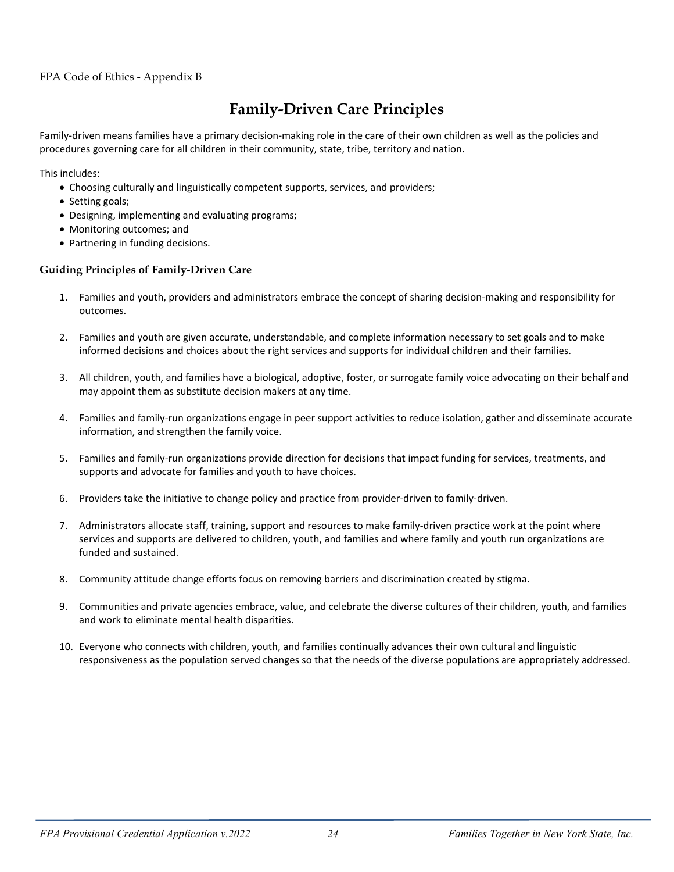#### FPA Code of Ethics - Appendix B

### **Family-Driven Care Principles**

Family-driven means families have a primary decision-making role in the care of their own children as well as the policies and procedures governing care for all children in their community, state, tribe, territory and nation.

This includes:

- Choosing culturally and linguistically competent supports, services, and providers;
- Setting goals;
- Designing, implementing and evaluating programs;
- Monitoring outcomes; and
- Partnering in funding decisions.

#### **Guiding Principles of Family-Driven Care**

- 1. Families and youth, providers and administrators embrace the concept of sharing decision-making and responsibility for outcomes.
- 2. Families and youth are given accurate, understandable, and complete information necessary to set goals and to make informed decisions and choices about the right services and supports for individual children and their families.
- 3. All children, youth, and families have a biological, adoptive, foster, or surrogate family voice advocating on their behalf and may appoint them as substitute decision makers at any time.
- 4. Families and family-run organizations engage in peer support activities to reduce isolation, gather and disseminate accurate information, and strengthen the family voice.
- 5. Families and family-run organizations provide direction for decisions that impact funding for services, treatments, and supports and advocate for families and youth to have choices.
- 6. Providers take the initiative to change policy and practice from provider-driven to family-driven.
- 7. Administrators allocate staff, training, support and resources to make family-driven practice work at the point where services and supports are delivered to children, youth, and families and where family and youth run organizations are funded and sustained.
- 8. Community attitude change efforts focus on removing barriers and discrimination created by stigma.
- 9. Communities and private agencies embrace, value, and celebrate the diverse cultures of their children, youth, and families and work to eliminate mental health disparities.
- 10. Everyone who connects with children, youth, and families continually advances their own cultural and linguistic responsiveness as the population served changes so that the needs of the diverse populations are appropriately addressed.